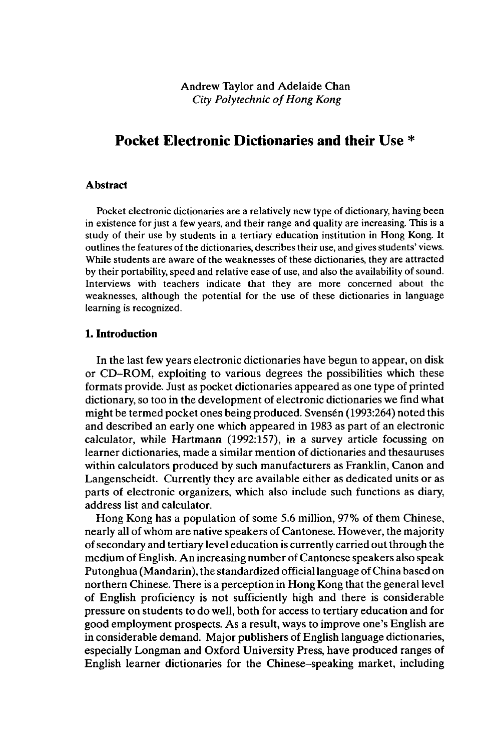# **Pocket Electronic Dictionaries and their Use \***

#### **Abstract**

Pocket electronic dictionaries are a relatively new type of dictionary, having been in existence for just a few years, and their range and quality are increasing. This is a study of their use by students in a tertiary education institution in Hong Kong. It outlines the features of the dictionaries, describes their use, and gives students' views. While students are aware of the weaknesses of these dictionaries, they are attracted by their portability, speed and relative ease of use, and also the availability of sound. Interviews with teachers indicate that they are more concerned about the weaknesses, although the potential for the use of these dictionaries in language learning is recognized.

## **1. Introduction**

In the last few years electronic dictionaries have begun to appear, on disk or CD-ROM, exploiting to various degrees the possibilities which these formats provide. Just as pocket dictionaries appeared as one type of printed dictionary, so too in the development of electronic dictionaries we find what might be termed pocket ones being produced. Svensén (1993:264) noted this and described an early one which appeared in 1983 as part of an electronic calculator, while Hartmann (1992:157), in a survey article focussing on learner dictionaries, made a similar mention of dictionaries and thesauruses within calculators produced by such manufacturers as Franklin, Canon and Langenscheidt. Currently they are available either as dedicated units or as parts of electronic organizers, which also include such functions as diary, address list and calculator.

Hong Kong has a population of some 5.6 million, 97% of them Chinese, nearly all of whom are native speakers of Cantonese. However, the majority ofsecondary and tertiary level education is currently carried outthrough the medium of English. An increasing number of Cantonese speakers also speak Putonghua (Mandarin), the standardized official language of China based on northern Chinese. There is a perception in Hong Kong that the general level of English proficiency is not sufficiently high and there is considerable pressure on students to do well, both for access to tertiary education and for good employment prospects. As a result, ways to improve one's English are in considerable demand. Major publishers of English language dictionaries, especially Longman and Oxford University Press, have produced ranges of English learner dictionaries for the Chinese-speaking market, including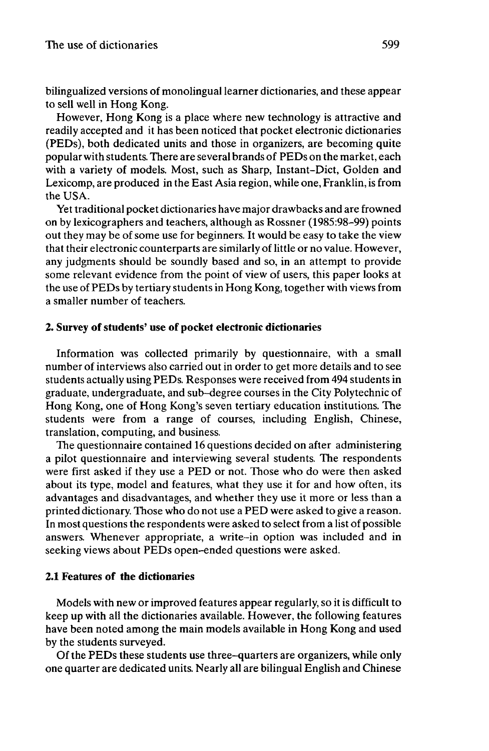bilingualized versions of monolingual learner dictionaries, and these appear to sell well in Hong Kong.

However, Hong Kong is a place where new technology is attractive and readily accepted and it has been noticed that pocket electronic dictionaries (PEDs), both dedicated units and those in organizers, are becoming quite popularwith students. There are several brands of PEDs on the market, each with a variety of models. Most, such as Sharp, Instant-Dict, Golden and Lexicomp, are produced in the East Asia region, while one, Franklin, is from the USA.

Yet traditional pocket dictionaries have major drawbacks and are frowned on by lexicographers and teachers, although as Rossner (1985:98-99) points out they may be of some use for beginners. It would be easy to take the view that their electronic counterparts are similarly of little or no value. However, any judgments should be soundly based and so, in an attempt to provide some relevant evidence from the point of view of users, this paper looks at the use of PEDs by tertiary students in Hong Kong, together with views from a smaller number of teachers.

### **2. Survey ofstudents' use of pocket electronic dictionaries**

Information was collected primarily by questionnaire, with a small number of interviews also carried out in order to get more details and to see students actually using PEDs. Responses were received from 494 students in graduate, undergraduate, and sub-degree courses in the City Polytechnic of Hong Kong, one of Hong Kong's seven tertiary education institutions. The students were from a range of courses, including English, Chinese, translation, computing, and business.

The questionnaire contained 16 questions decided on after administering a pilot questionnaire and interviewing several students. The respondents were first asked if they use a PED or not. Those who do were then asked about its type, model and features, what they use it for and how often, its advantages and disadvantages, and whether they use it more or less than a printed dictionary. Those who do not use a PED were asked to give a reason. In most questions the respondents were asked to select from a list of possible answers. Whenever appropriate, a write-in option was included and in seeking views about PEDs open-ended questions were asked.

## **2.1 Features of the dictionaries**

Models with new or improved features appear regularly, so it is difficult to keep up with all the dictionaries available. However, the following features have been noted among the main models available in Hong Kong and used by the students surveyed.

Of the PEDs these students use three-quarters are organizers, while only one quarter are dedicated units. Nearly all are bilingual English and Chinese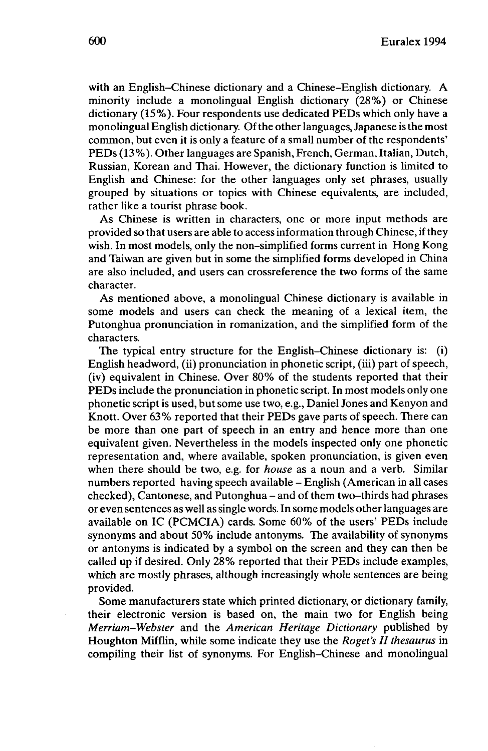with an English-Chinese dictionary and a Chinese-English dictionary. A minority include a monolingual English dictionary (28%) or Chinese dictionary (15%). Four respondents use dedicated PEDs which only have a monolingual English dictionary. Ofthe other languages,Japanese isthe most common, but even it is only a feature of a small number of the respondents' PEDs (13%). Other languages are Spanish, French, German, Italian, Dutch, Russian, Korean and Thai. However, the dictionary function is limited to English and Chinese: for the other languages only set phrases, usually grouped by situations or topics with Chinese equivalents, are included, rather like a tourist phrase book.

As Chinese is written in characters, one or more input methods are provided so that users are able to access information through Chinese, ifthey wish. In most models, only the non-simplified forms current in Hong Kong and Taiwan are given but in some the simplified forms developed in China are also included, and users can crossreference the two forms of the same character.

As mentioned above, a monolingual Chinese dictionary is available in some models and users can check the meaning of a lexical item, the Putonghua pronunciation in romanization, and the simplified form of the characters.

The typical entry structure for the English-Chinese dictionary is: (i) English headword, (ii) pronunciation in phonetic script, (iii) part of speech, (iv) equivalent in Chinese. Over 80% of the students reported that their PEDs include the pronunciation in phonetic script. In most models only one phonetic script is used, but some use two, e.g., Daniel Jones and Kenyon and Knott. Over 63% reported that their PEDs gave parts of speech. There can be more than one part of speech in an entry and hence more than one equivalent given. Nevertheless in the models inspected only one phonetic representation and, where available, spoken pronunciation, is given even when there should be two, e.g. for *house* as a noun and a verb. Similar numbers reported having speech available - English (American in all cases checked), Cantonese, and Putonghua - and of them two-thirds had phrases or even sentences as well assingle words. In some models other languages are available on IC (PCMCIA) cards. Some 60% of the users' PEDs include synonyms and about 50% include antonyms. The availability of synonyms or antonyms is indicated by a symbol on the screen and they can then be called up if desired. Only 28% reported that their PEDs include examples, which are mostly phrases, although increasingly whole sentences are being provided.

Some manufacturers state which printed dictionary, or dictionary family, their electronic version is based on, the main two for English being *Merriam-Webster* and the *American Heritage Dictionary* published by Houghton Mifflin, while some indicate they use the *Roget's II thesaurus* in compiling their list of synonyms. For English-Chinese and monolingual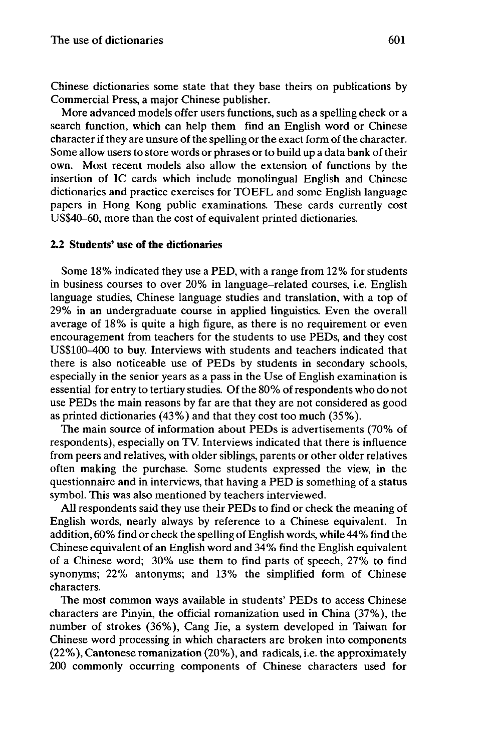Chinese dictionaries some state that they base theirs on publications by Commercial Press, a major Chinese publisher.

More advanced models offer users functions, such as a spelling check or a search function, which can help them find an English word or Chinese character if they are unsure of the spelling or the exact form of the character. Some allow users to store words or phrases or to build up a data bank of their own. Most recent models also allow the extension of functions by the insertion of IC cards which include monolingual English and Chinese dictionaries and practice exercises for TOEFL and some English language papers in Hong Kong public examinations. These cards currently cost US\$40-60, more than the cost of equivalent printed dictionaries.

## **2.2 Students' use of the dictionaries**

Some 18% indicated they use a PED, with a range from 12% for students in business courses to over 20% in language-related courses, i.e. English language studies, Chinese language studies and translation, with a top of 29% in an undergraduate course in applied linguistics. Even the overall average of 18% is quite a high figure, as there is no requirement or even encouragement from teachers for the students to use PEDs, and they cost US\$100-400 to buy. Interviews with students and teachers indicated that there is also noticeable use of PEDs by students in secondary schools, especially in the senior years as a pass in the Use of English examination is essential for entry to tertiary studies. Of the 80% of respondents who do not use PEDs the main reasons by far are that they are not considered as good as printed dictionaries (43%) and that they cost too much (35%).

The main source of information about PEDs is advertisements (70% of respondents), especially on TV. Interviews indicated that there is influence from peers and relatives, with older siblings, parents or other older relatives often making the purchase. Some students expressed the view, in the questionnaire and in interviews, that having a PED is something of a status symbol. This was also mentioned by teachers interviewed.

All respondents said they use their PEDs to find or check the meaning of English words, nearly always by reference to a Chinese equivalent. In addition, 60% find or check the spelling of English words, while 44% find the Chinese equivalent of an English word and 34% find the English equivalent of a Chinese word; 30% use them to find parts of speech, 27% to find synonyms; 22% antonyms; and 13% the simplified form of Chinese characters.

The most common ways available in students' PEDs to access Chinese characters are Pinyin, the official romanization used in China (37%), the number of strokes (36%), Cang Jie, a system developed in Taiwan for Chinese word processing in which characters are broken into components (22%), Cantonese romanization (20%), and radicals, i.e. the approximately 200 commonly occurring components of Chinese characters used for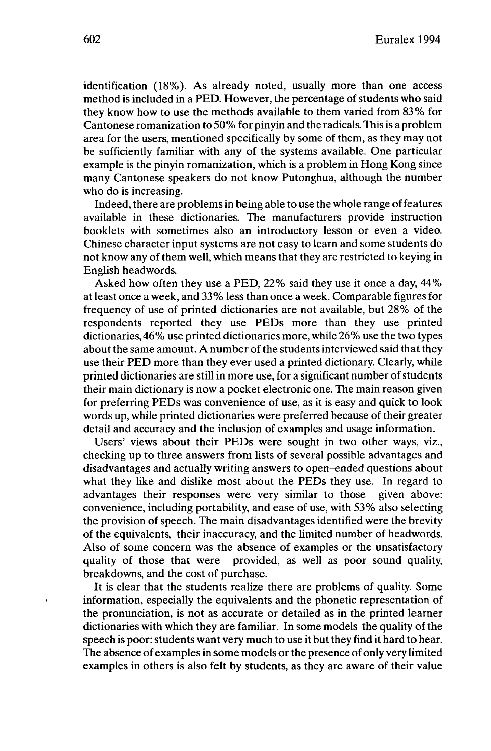identification (18%). As already noted, usually more than one access method is included in a PED. However, the percentage of students who said they know how to use the methods available to them varied from 83% for Cantonese romanization to 50% for pinyin and the radicals. Thisis a problem area for the users, mentioned specifically by some of them, as they may not be sufficiently familiar with any of the systems available. One particular example is the pinyin romanization, which is a problem in Hong Kong since many Cantonese speakers do not know Putonghua, although the number who do is increasing.

Indeed, there are problems in being able to use the whole range of features available in these dictionaries. The manufacturers provide instruction booklets with sometimes also an introductory lesson or even a video. Chinese character input systems are not easy to learn and some students do not know any of them well, which means that they are restricted to keying in English headwords.

Asked how often they use a PED, 22% said they use it once a day, 44% atleast once a week, and 33% less than once a week. Comparable figures for frequency of use of printed dictionaries are not available, but 28% of the respondents reported they use PEDs more than they use printed dictionaries, 46% use printed dictionaries more, while 26% use the two types about the same amount. A number of the students interviewed said that they use their PED more than they ever used a printed dictionary. Clearly, while printed dictionaries are still in more use, for a significant number of students their main dictionary is now a pocket electronic one. The main reason given for preferring PEDs was convenience of use, as it is easy and quick to look words up, while printed dictionaries were preferred because of their greater detail and accuracy and the inclusion of examples and usage information.

Users' views about their PEDs were sought in two other ways, viz., checking up to three answers from lists of several possible advantages and disadvantages and actually writing answers to open-ended questions about what they like and dislike most about the PEDs they use. In regard to advantages their responses were very similar to those given above: convenience, including portability, and ease of use, with 53% also selecting the provision of speech. The main disadvantages identified were the brevity of the equivalents, their inaccuracy, and the limited number of headwords. Also of some concern was the absence of examples or the unsatisfactory quality of those that were provided, as well as poor sound quality, breakdowns, and the cost of purchase.

It is clear that the students realize there are problems of quality. Some information, especially the equivalents and the phonetic representation of the pronunciation, is not as accurate or detailed as in the printed learner dictionaries with which they are familiar. In some models the quality of the speech is poor: students want very much to use it but they find it hard to hear. The absence of examples in some models orthe presence of only very limited examples in others is also felt by students, as they are aware of their value

 $\lambda$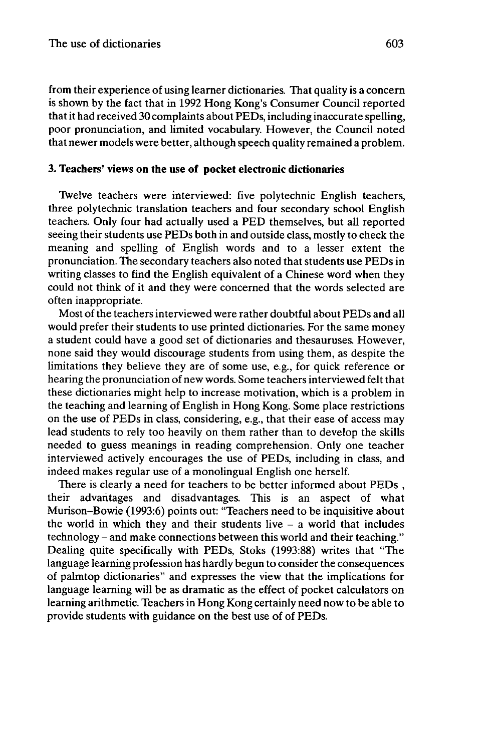from their experience of using learner dictionaries. That quality is a concern is shown by the fact that in 1992 Hong Kong's Consumer Council reported thatit had received 30 complaints about PEDs, including inaccurate spelling, poor pronunciation, and limited vocabulary. However, the Council noted that newer models were better, although speech quality remained a problem.

## **3. Teachers' views on the use of pocket electronic dictionaries**

Twelve teachers were interviewed: five polytechnic English teachers, three polytechnic translation teachers and four secondary school English teachers. Only four had actually used a PED themselves, but all reported seeing their students use PEDs both in and outside class, mostly to check the meaning and spelling of English words and to a lesser extent the pronunciation. The secondary teachers also noted that students use PEDs in writing classes to find the English equivalent of a Chinese word when they could not think of it and they were concerned that the words selected are often inappropriate.

Most of the teachers interviewed were rather doubtful about PEDs and all would prefer their students to use printed dictionaries. For the same money a student could have a good set of dictionaries and thesauruses. However, none said they would discourage students from using them, as despite the limitations they believe they are of some use, e.g., for quick reference or hearing the pronunciation of new words. Some teachersinterviewed felt that these dictionaries might help to increase motivation, which is a problem in the teaching and learning of English in Hong Kong. Some place restrictions on the use of PEDs in class, considering, e.g., that their ease of access may lead students to rely too heavily on them rather than to develop the skills needed to guess meanings in reading comprehension. Only one teacher interviewed actively encourages the use of PEDs, including in class, and indeed makes regular use of a monolingual English one herself.

There is clearly a need for teachers to be better informed about PEDs , their advantages and disadvantages. This is an aspect of what Murison-Bowie (1993:6) points out: "Teachers need to be inquisitive about the world in which they and their students live  $-$  a world that includes technology - and make connections between this world and their teaching." Dealing quite specifically with PEDs, Stoks (1993:88) writes that "The language learning profession has hardly begun to consider the consequences of palmtop dictionaries" and expresses the view that the implications for language learning will be as dramatic as the effect of pocket calculators on learning arithmetic. Teachers in Hong Kong certainly need now to be able to provide students with guidance on the best use of of PEDs.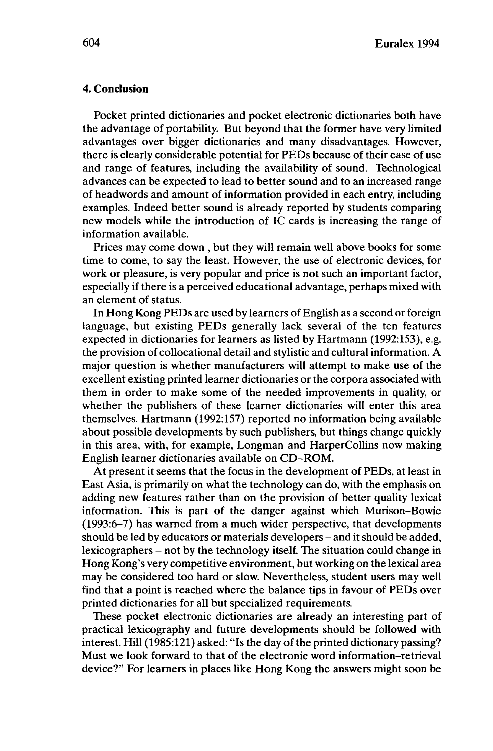#### **4. Conclusion**

Pocket printed dictionaries and pocket electronic dictionaries both have the advantage of portability. But beyond that the former have very limited advantages over bigger dictionaries and many disadvantages. However, there is clearly considerable potential for PEDs because of their ease of use and range of features, including the availability of sound. Technological advances can be expected to lead to better sound and to an increased range of headwords and amount of information provided in each entry, including examples. Indeed better sound is already reported by students comparing new models while the introduction of IC cards is increasing the range of information available.

Prices may come down , but they will remain well above books for some time to come, to say the least. However, the use of electronic devices, for work or pleasure, is very popular and price is not such an important factor, especially if there is a perceived educational advantage, perhaps mixed with an element of status.

In Hong Kong PEDs are used by learners of English as a second or foreign language, but existing PEDs generally lack several of the ten features expected in dictionaries for learners as listed by Hartmann (1992:153), e.g. the provision of collocational detail and stylistic and cultural information. A major question is whether manufacturers will attempt to make use of the excellent existing printed learner dictionaries or the corpora associated with them in order to make some of the needed improvements in quality, or whether the publishers of these learner dictionaries will enter this area themselves. Hartmann (1992:157) reported no information being available about possible developments by such publishers, but things change quickly in this area, with, for example, Longman and HarperCollins now making English learner dictionaries available on CD-ROM.

At present it seems that the focus in the development of PEDs, at least in East Asia, is primarily on what the technology can do, with the emphasis on adding new features rather than on the provision of better quality lexical information. This is part of the danger against which Murison-Bowie (1993:6-7) has warned from a much wider perspective, that developments should be led by educators or materials developers- and it should be added, lexicographers - not by the technology itself. The situation could change in Hong Kong's very competitive environment, but working on the lexical area may be considered too hard or slow. Nevertheless, student users may well find that a point is reached where the balance tips in favour of PEDs over printed dictionaries for all but specialized requirements.

These pocket electronic dictionaries are already an interesting part of practical lexicography and future developments should be followed with interest. Hill (1985:121) asked: "Is the day of the printed dictionary passing? Must we look forward to that of the electronic word information-retrieval device?" For learners in places like Hong Kong the answers might soon be